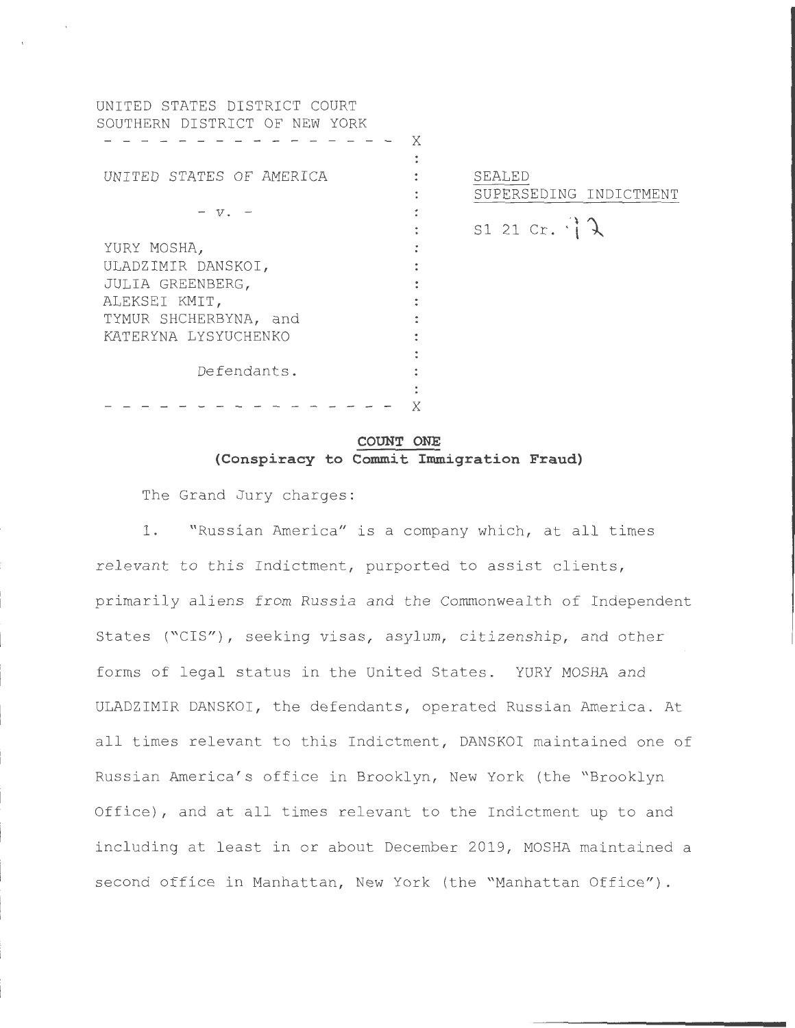UNITED STATES DISTRICT COURT SOUTHERN DISTRICT OF NEW YORK - – – X  $\ddot{\cdot}$ UNITED STATES OF AMERICA  $\sim$  100  $\ddot{\cdot}$  $V \ddot{\cdot}$  $\ddot{\phantom{a}}$ YURY MOSHA,  $\ddot{\cdot}$ ULADZIMIR DANSKOI , JULIA GREENBERG , ALEKSEI KMIT, TYMUR SHCHERBYNA, and KATERYNA LYSYUCHENKO Defendants . - - - - - - - - - - - - - - - - X

SEALED SUPERSEDING INDICTMENT

 $S1 21 Cr.$   $\uparrow \downarrow$ 

# **COUNT ONE (Conspiracy to Commit Immigration Fraud)**

The Grand Jury charges :

1. "Russian America" is a company which, at all times relevant to this Indictment, purported to assist clients, primarily aliens from Russia and the Commonwealth of Independent States ("CIS"), seeking visas, asylum, citizenship, and other forms of legal status in the United States. YURY MOSHA and ULADZIMIR DANSKOI, the defendants, operated Russian America. At all times relevant to this Indictment, DANSKOI maintained one of Russian America's office in Brooklyn, New York (the "Brooklyn Office) , and at all times relevant to the Indictment up to and including at least in or about December 2019 , MOSHA maintained a second office in Manhattan, New York (the "Manhattan Office").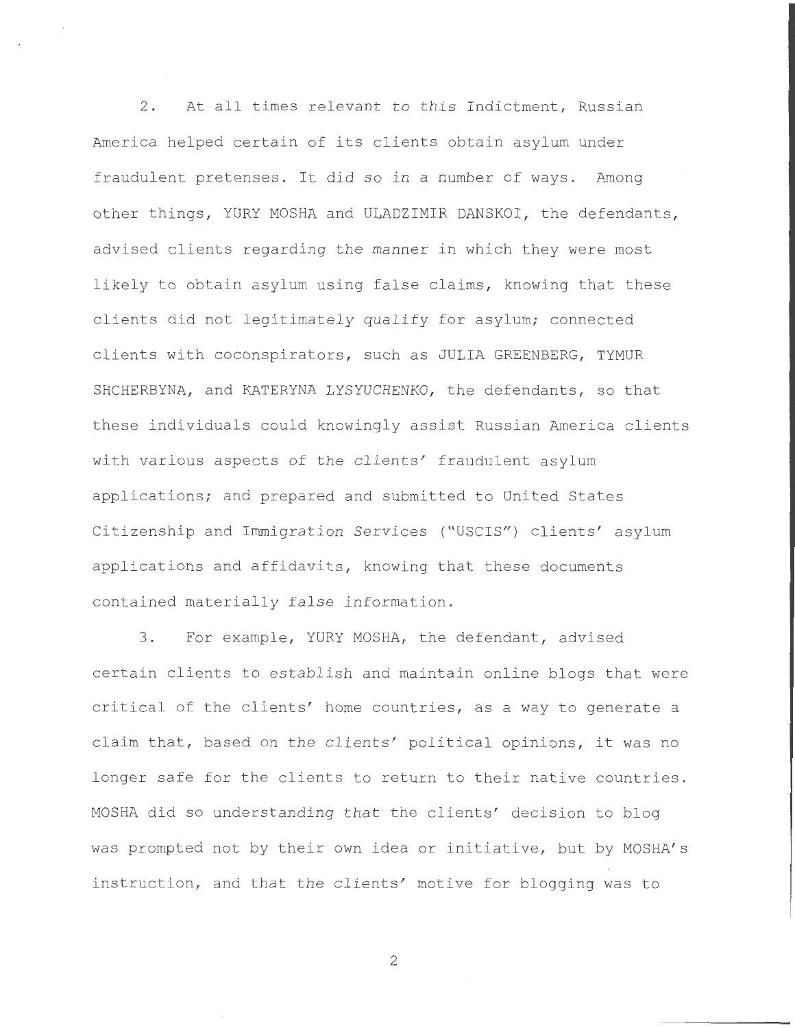2. At all times relevant to this Indictment, Russian America helped certain of its clients obtain asylum under fraudulent pretenses. It did so in a number of ways. Among other things, YURY MOSHA and ULADZIMIR DANSKOI, the defendants, advised clients regarding the manner in which they were most likely to obtain asylum using false claims, knowing that these clients did not legitimately qualify for asylum; connected clients with coconspirators, such as JULIA GREENBERG, TYMUR SHCHERBYNA, and KATERYNA LYSYUCHENKO, the defendants, so that these individuals could knowingly assist Russian America clients with various aspects of the clients' fraudulent asylum applications; and prepared and submitted to United States Citizenship and Immigration Services ("USCIS") clients' asylum applications and affidavits, knowing that these documents contained materially false information .

3. For example, YURY MOSHA, the defendant, advised certain clients to establish and maintain online blogs that were critical of the clients' home countries, as a way to generate a claim that, based on the clients' political opinions, it was no longer safe for the clients to return to their native countries. MOSHA did so understanding that the clients' decision to blog was prompted not by their own idea or initiative, but by MOSHA's instruction, and that the clients' motive for blogging was to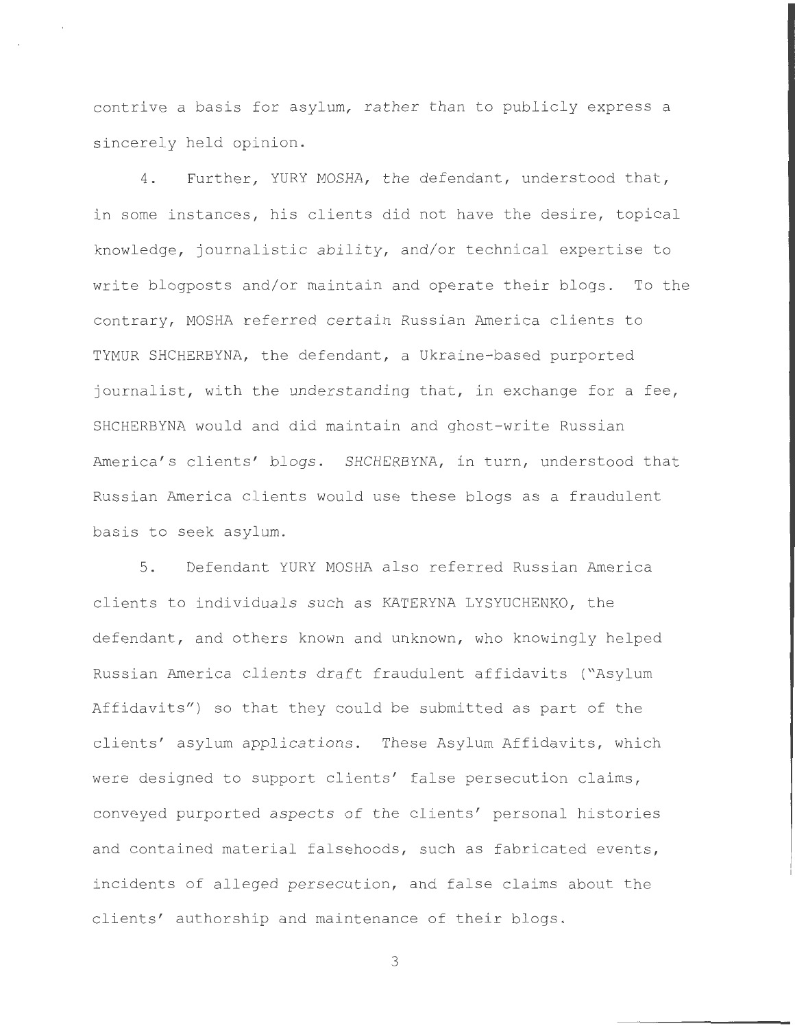contrive a basis for asylum, rather than to publicly express a sincerely held opinion.

4. Further, YURY MOSHA, the defendant, understood that, in some instances, his clients did not have the desire, topical knowledge, journalistic ability, and/or technical expertise to write blogposts and/or maintain and operate their blogs. To the contrary, MOSHA referred certain Russian America clients to TYMUR SHCHERBYNA, the defendant, a Ukraine-based purported journalist, with the understanding that, in exchange for a fee, SHCHERBYNA would and did maintain and ghost-write Russian America's clients' blogs. SHCHERBYNA, in turn, understood that Russian America clients would use these blogs as a fraudulent basis to seek asylum.

5 . Defendant YURY MOSHA also referred Russian America clients to individuals such as KATERYNA LYSYUCHENKO, the defendant, and others known and unknown, who knowingly helped Russian America clients draft fraudulent affidavits ("Asylum Affidavits") so that they could be submitted as part of the clients' asylum applications. These Asylum Affidavits, which were designed to support clients' false persecution claims, conveyed purported aspects of the clients' personal histories and contained material falsehoods, such as fabricated events, incidents of alleged persecution, and false claims about the clients' authorship and maintenance of their blogs .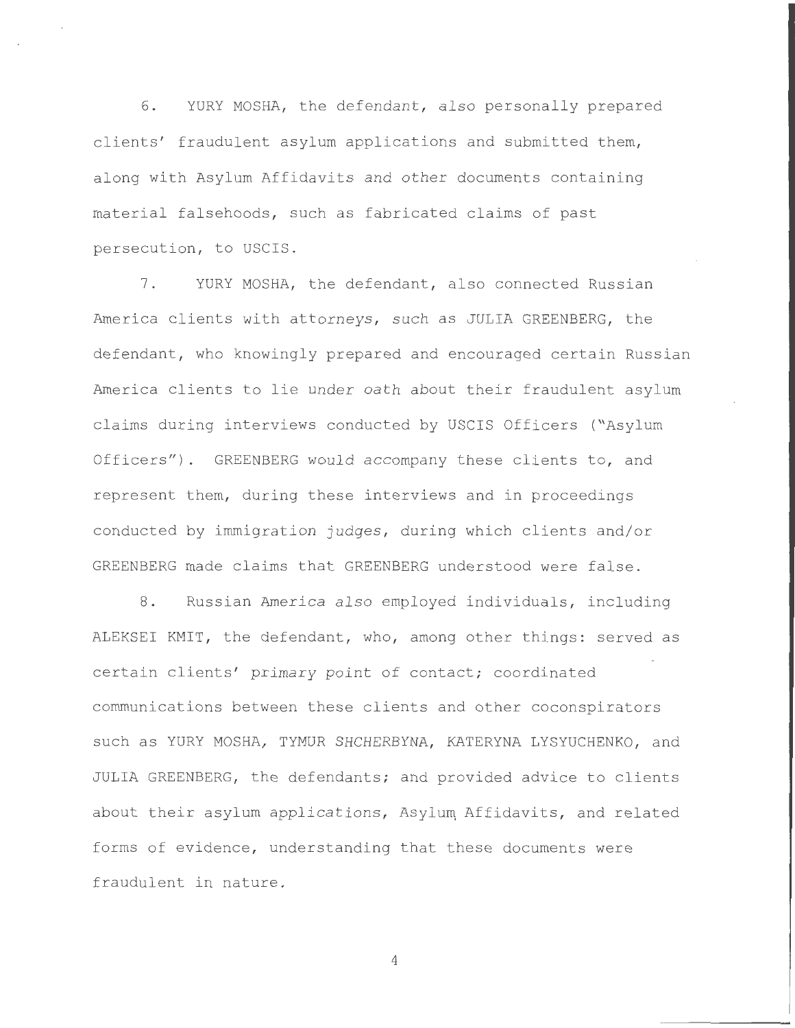6. YURY MOSHA, the defendant, also personally prepared clients' fraudulent asylum applications and submitted them, along with Asylum Affidavits and other documents containing material falsehoods, such as fabricated claims of past persecution, to USCIS.

7. YURY MOSHA, the defendant, also connected Russian America clients with attorneys, such as JULIA GREENBERG, the defendant, who knowingly prepared and encouraged certain Russian America clients to lie under oath about their fraudulent asylum claims during interviews conducted by USCIS Officers ("Asylum Officers"). GREENBERG would accompany these clients to, and represent them, during these interviews and in proceedings conducted by immigration judges, during which clients and/or GREENBERG made claims that GREENBERG understood were false .

8. Russian America also employed individuals, including ALEKSEI KMIT, the defendant, who, among other things: served as certain clients' primary point of contact; coordinated communications between these clients and other coconspirators such as YURY MOSHA, TYMUR SHCHERBYNA, KATERYNA LYSYUCHENKO, and JULIA GREENBERG, the defendants; and provided advice to clients about their asylum applications, Asylum Affidavits, and related forms of evidence, understanding that these documents were fraudulent in nature .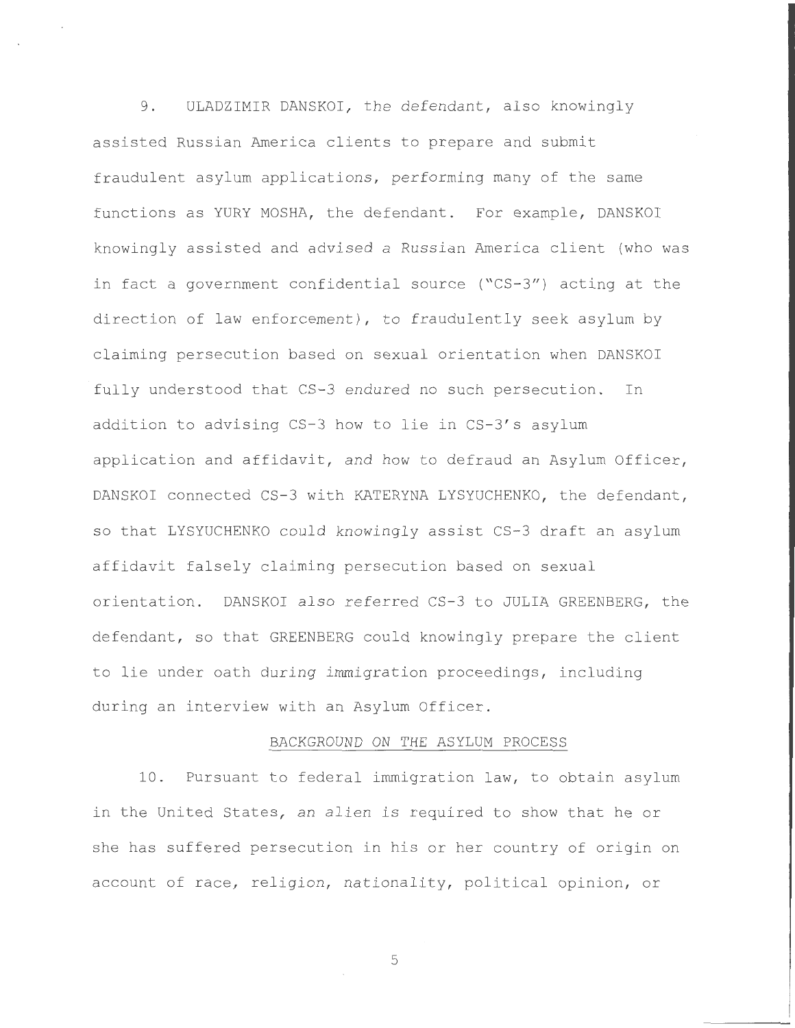9. ULADZIMIR DANSKOI, the defendant, also knowingly assisted Russian America clients to prepare and submit fraudulent asylum applications, performing many of the same functions as YURY MOSHA, the defendant. For example, DANSKOI knowingly assisted and advised a Russian America client (who was in fact a government confidential source ("CS-3") acting at the direction of law enforcement), to fraudulently seek asylum by claiming persecution based on sexual orientation when DANSKOI fully understood that CS-3 endured no such persecution. In addition to advising  $CS-3$  how to lie in  $CS-3's$  asylum application and affidavit, and how to defraud an Asylum Officer, DANSKOI connected CS-3 with KATERYNA LYSYUCHENKO, the defendant, so that LYSYUCHENKO could knowingly assist CS-3 draft an asylum affidavit falsely claiming persecution based on sexual orientation. DANSKOI also referred CS-3 to JULIA GREENBERG, the defendant, so that GREENBERG could knowingly prepare the client to lie under oath during immigration proceedings, including during an interview with an Asylum Officer .

### BACKGROUND ON THE ASYLUM PROCESS

10. Pursuant to federal immigration law, to obtain asylum in the United States, an alien is required to show that he or she has suffered persecution in his or her country of origin on account of race, religion, nationality, political opinion, or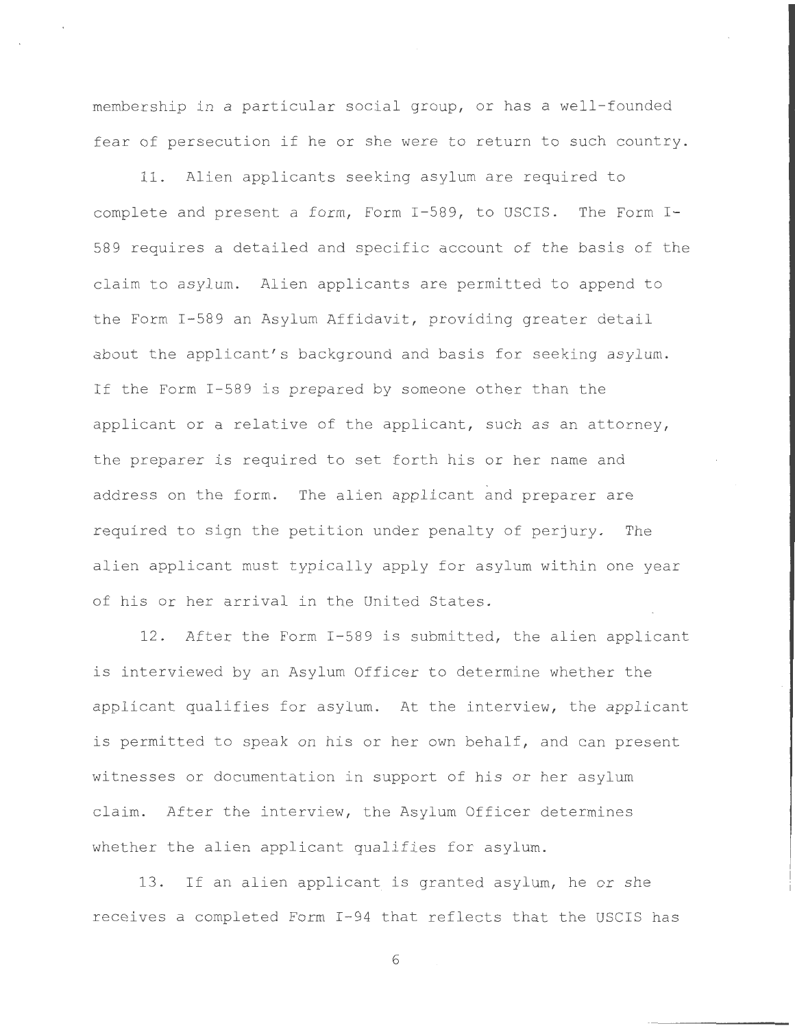membership in a particular social group, or has a well-founded fear of persecution if he or she were to return to such country .

11 . Alien applicants seeking asylum are required to complete and present a form, Form I-589, to USCIS. The Form I-589 requires a detailed and specific account of the basis of the claim to asylum. Alien applicants are permitted to append to the Form I-589 an Asylum Affidavit, providing greater detail about the applicant's background and basis for seeking asylum. If the Form I-589 is prepared by someone other than the applicant or a relative of the applicant, such as an attorney, the preparer is required to set forth his or her name and address on the form. The alien applicant and preparer are required to sign the petition under penalty of perjury. The alien applicant must typically apply for asylum within one year of his or her arrival in the United States .

12. After the Form I-589 is submitted, the alien applicant is interviewed by an Asylum Officer to determine whether the applicant qualifies for asylum. At the interview, the applicant is permitted to speak on his or her own behalf, and can present witnesses or documentation in support of his or her asylum claim. After the interview, the Asylum Officer determines whether the alien applicant qualifies for asylum.

13. If an alien applicant is granted asylum, he or she receives a completed Form I-94 that reflects that the USCIS has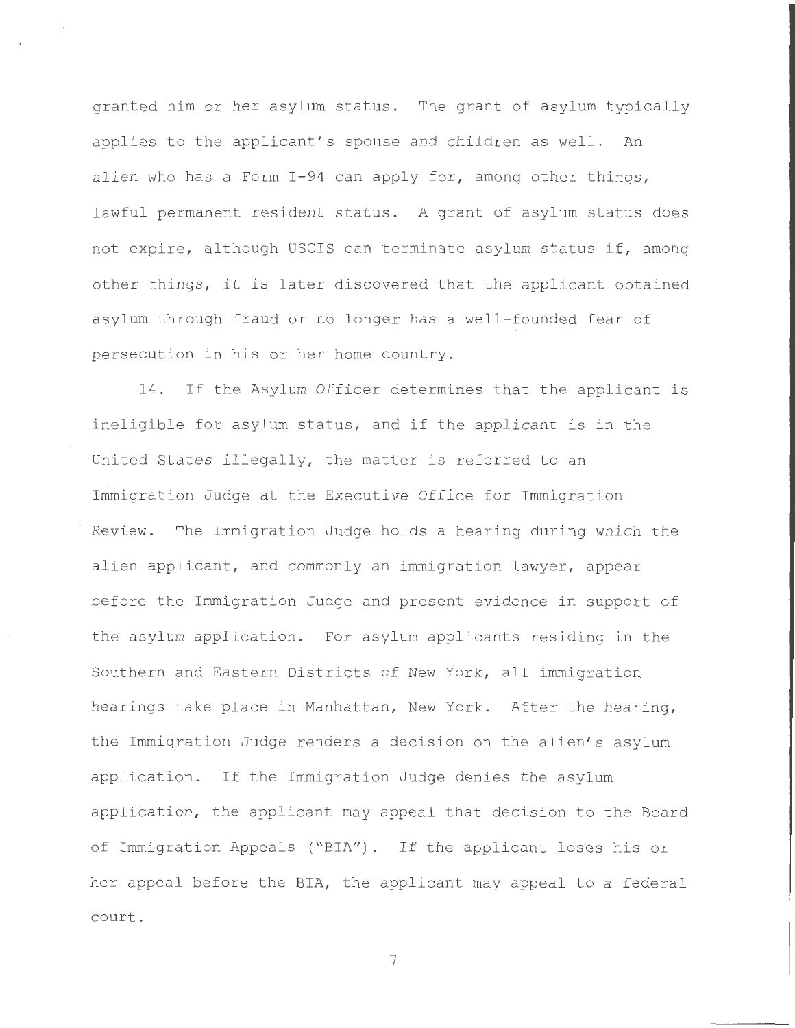granted him or her asylum status. The grant of asylum typically applies to the applicant's spouse and children as well. An alien who has a Form  $I-94$  can apply for, among other things, lawful permanent resident status. A grant of asylum status does not expire, although USCIS can terminate asylum status if, among other things, it is later discovered that the applicant obtained asylum through fraud or no longer has a well-founded fear of persecution in his or her home country.

14. If the Asylum Officer determines that the applicant is ineligible for asylum status, and if the applicant is in the United States illegally, the matter is referred to an Immigration Judge at the Executive Office for Immigration Review. The Immigration Judge holds a hearing during which the alien applicant, and commonly an immigration lawyer, appear before the Immigration Judge and present evidence in support of the asylum application. For asylum applicants residing in the Southern and Eastern Districts of New York, all immigration hearings take place in Manhattan, New York. After the hearing, the Immigration Judge renders a decision on the alien's asylum application . If the Immigration Judge denies the asylum application, the applicant may appeal that decision to the Board of Immigration Appeals ("BIA"). If the applicant loses his or her appeal before the BIA, the applicant may appeal to a federal court .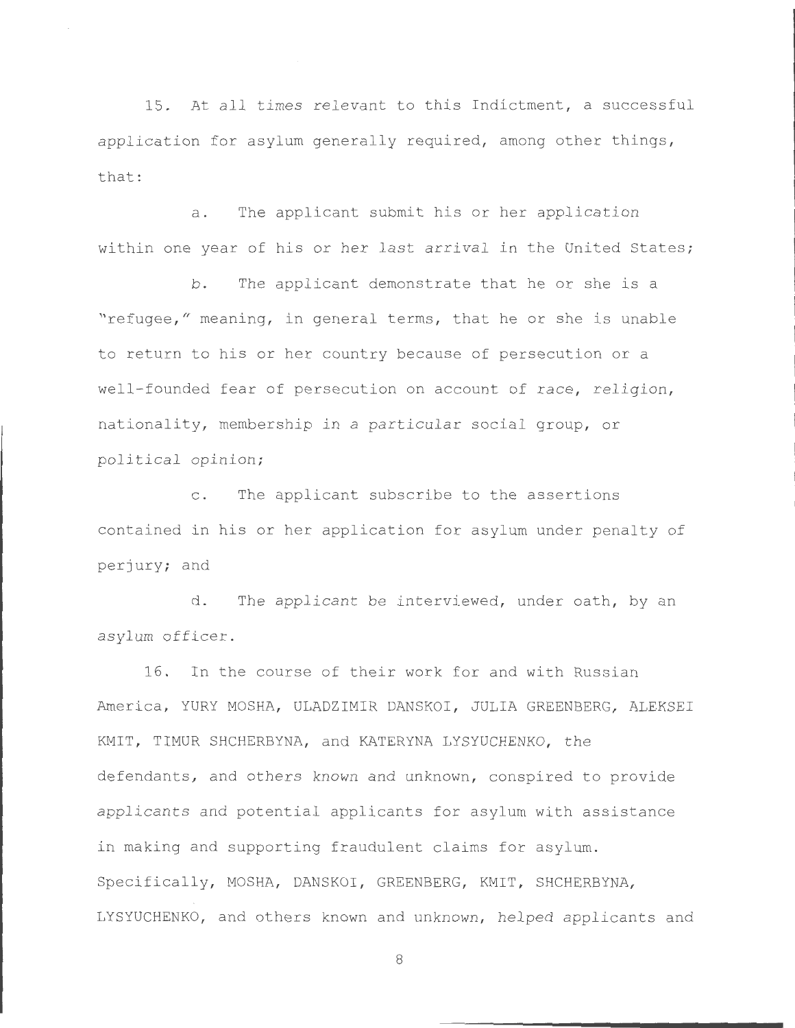15. At all times relevant to this Indictment, a successful application for asylum generally required, among other things, that:

a. The applicant submit his or her application within one year of his or her last arrival in the United States;

b. The applicant demonstrate that he or she is a "refugee," meaning, in general terms, that he or she is unable to return to his or her country because of persecution or a well-founded fear of persecution on account of race, religion, nationality, membership in a particular social group, or political opinion;

c. The applicant subscribe to the assertions contained in his or her application for asylum under penalty of perjury; and

d. The applicant be interviewed, under oath, by an asylum officer .

16 . In the course of their work for and with Russian America, YURY MOSHA, ULADZIMIR DANSKOI, JULIA GREENBERG, ALEKSEI KMIT, TIMUR SHCHERBYNA, and KATERYNA LYSYUCHENKO, the defendants, and others known and unknown, conspired to provide applicants and potential applicants for asylum with assistance in making and supporting fraudulent claims for asylum. Specifically, MOSHA, DANSKOI, GREENBERG, KMIT, SHCHERBYNA, LYSYUCHENKO, and others known and unknown, helped applicants and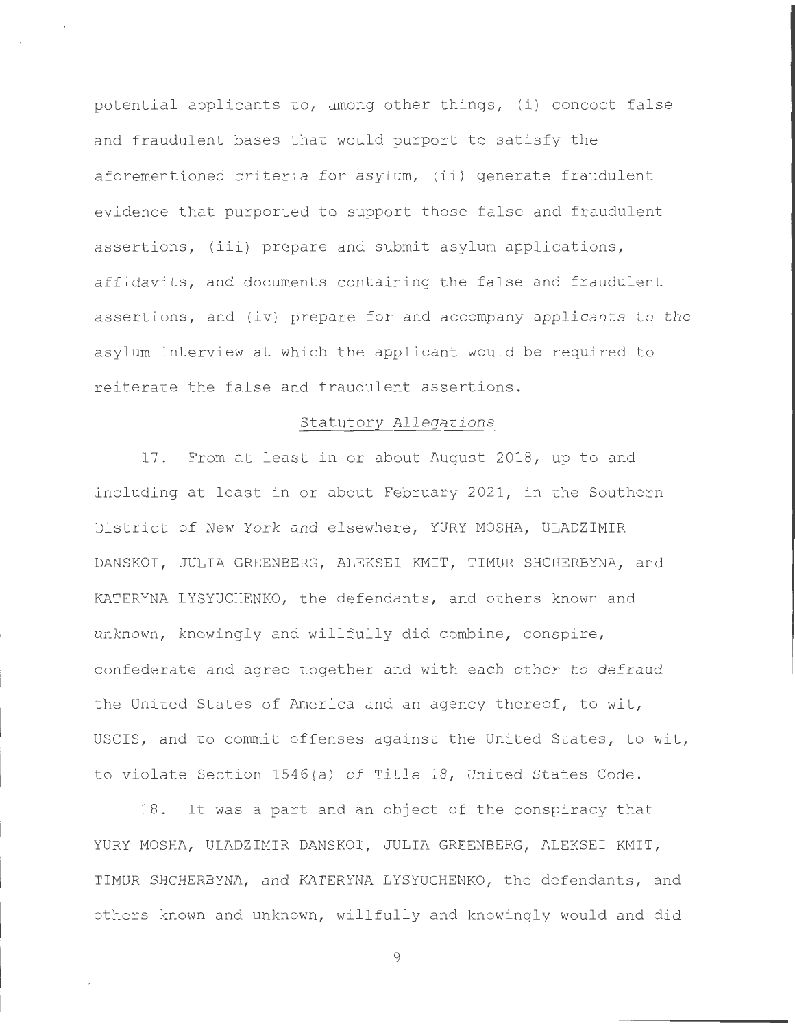potential applicants to, among other things,  $(i)$  concoct false and fraudulent bases that would purport to satisfy the aforementioned criteria for asylum, (ii) generate fraudulent evi dence that purported to support those false and fraudulent assertions, (iii) prepare and submit asylum applications, affidavits, and documents containing the false and fraudulent assertions, and (iv) prepare for and accompany applicants to the asylum interview at which the applicant would be required to reiterate the false and fraudulent assertions .

## Statutory Allegations

17. From at least in or about August 2018, up to and including at least in or about February 2021, in the Southern District of New York and elsewhere, YURY MOSHA, ULADZIMIR DANSKOI, JULIA GREENBERG, ALEKSEI KMIT, TIMUR SHCHERBYNA, and KATERYNA LYSYUCHENKO, the defendants, and others known and unknown, knowingly and willfully did combine, conspire, confederate and agree together and with each other to defraud the United States of America and an agency thereof, to wit, USCIS, and to commit offenses against the United States, to wit, to violate Section 1546(a) of Title 18 , United States Code .

<sup>18</sup> . It was a part and an object of the conspiracy that YURY MOSHA, ULADZIMIR DANSKOI, JULIA GREENBERG, ALEKSEI KMIT, TIMUR SHCHERBYNA, and KATERYNA LYSYUCHENKO, the defendants, and others known and unknown, willfully and knowingly would and did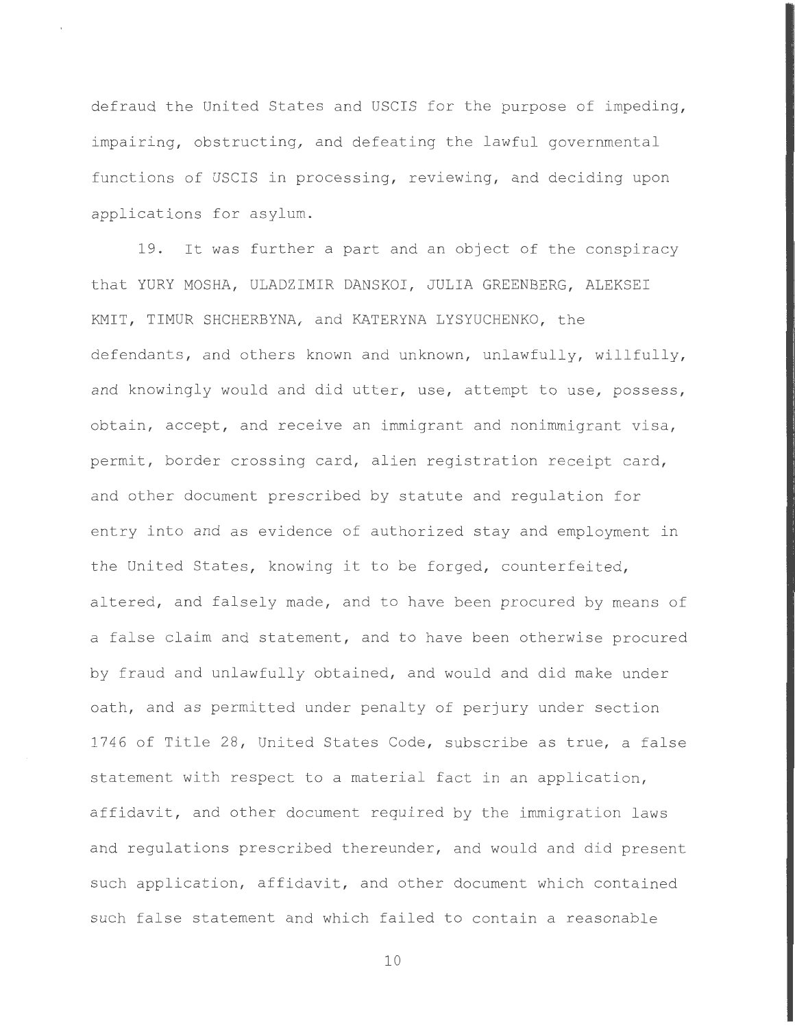defraud the United States and USCIS for the purpose of impeding, impairing, obstructing, and defeating the lawful governmental functions of USCIS in processing, reviewing, and deciding upon applications for asylum.

19. It was further a part and an object of the conspiracy that YURY MOSHA, ULADZIMIR DANSKOI, JULIA GREENBERG, ALEKSEI KMIT, TIMUR SHCHERBYNA, and KATERYNA LYSYUCHENKO, the defendants, and others known and unknown, unlawfully, willfully, and knowingly would and did utter, use, attempt to use, possess, obtain, accept, and receive an immigrant and nonimmigrant visa, permit, border crossing card, alien registration receipt card, and other document prescribed by statute and regulation for entry into and as evidence of authorized stay and employment in the United States, knowing it to be forged, counterfeited, altered, and falsely made, and to have been procured by means of a false claim and statement, and to have been otherwise procured by fraud and unlawfully obtained, and would and did make under oath, and as permitted under penalty of perjury under section 1746 of Title 28, United States Code, subscribe as true, a false statement with respect to a material fact in an application, affidavit, and other document required by the immigration laws and regulations prescribed thereunder, and would and did present such application, affidavit, and other document which contained such false statement and which failed to contain a reasonable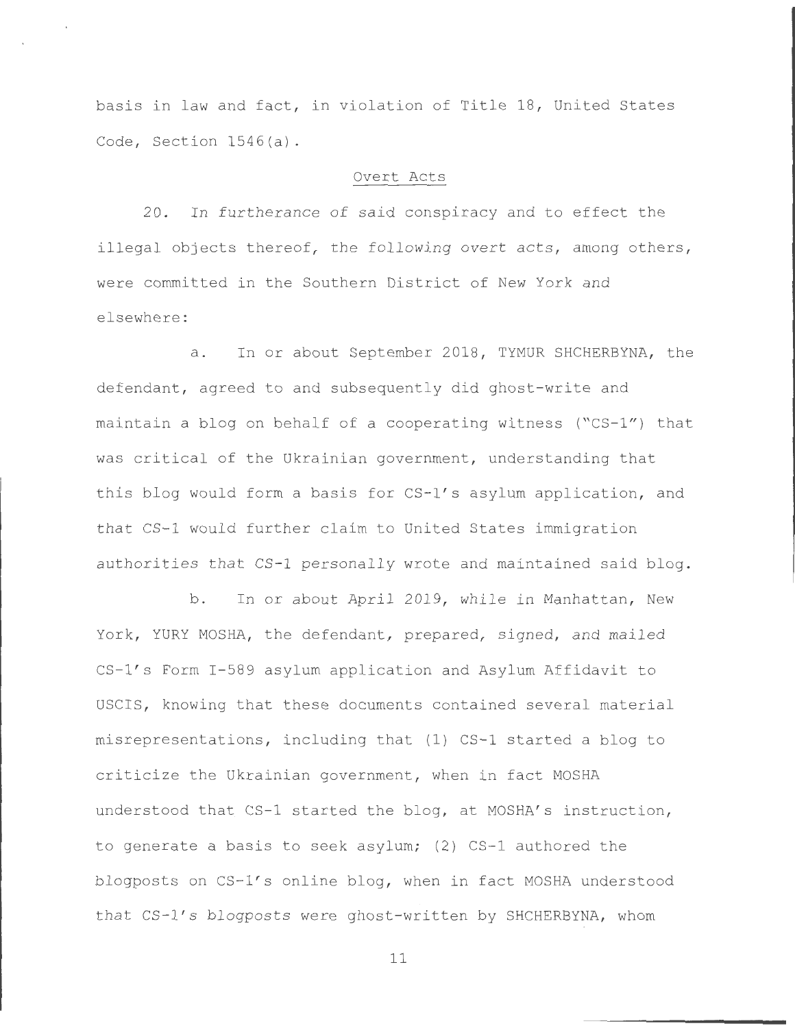basis in law and fact, in violation of Title 18, United States Code, Section  $1546(a)$ .

#### Overt Acts

20. In furtherance of said conspiracy and to effect the illegal objects thereof, the following overt acts, among others, were committed in the Southern District of New York and elsewhere :

a. In or about September 2018, TYMUR SHCHERBYNA, the defendant, agreed to and subsequently did ghost-write and maintain a blog on behalf of a cooperating witness ("CS-1") that was critical of the Ukrainian government, understanding that this blog would form a basis for CS-1's asylum application, and that CS-1 would further claim to United States immigration authorities that CS-1 personally wrote and maintained said blog.

b. In or about April 2019, while in Manhattan, New York, YURY MOSHA, the defendant, prepared, signed, and mailed CS-1's Form I-589 asylum application and Asylum Affidavit to USCIS , knowing that these documents contained several material misrepresentations, including that (1) CS-1 started a blog to criticize the Ukrainian government, when in fact MOSHA understood that CS-1 started the blog, at MOSHA's instruction, to generate a basis to seek asylum; (2) CS-1 authored the blogposts on  $CS-1's$  online blog, when in fact MOSHA understood that CS-1's blogposts were ghost-written by SHCHERBYNA, whom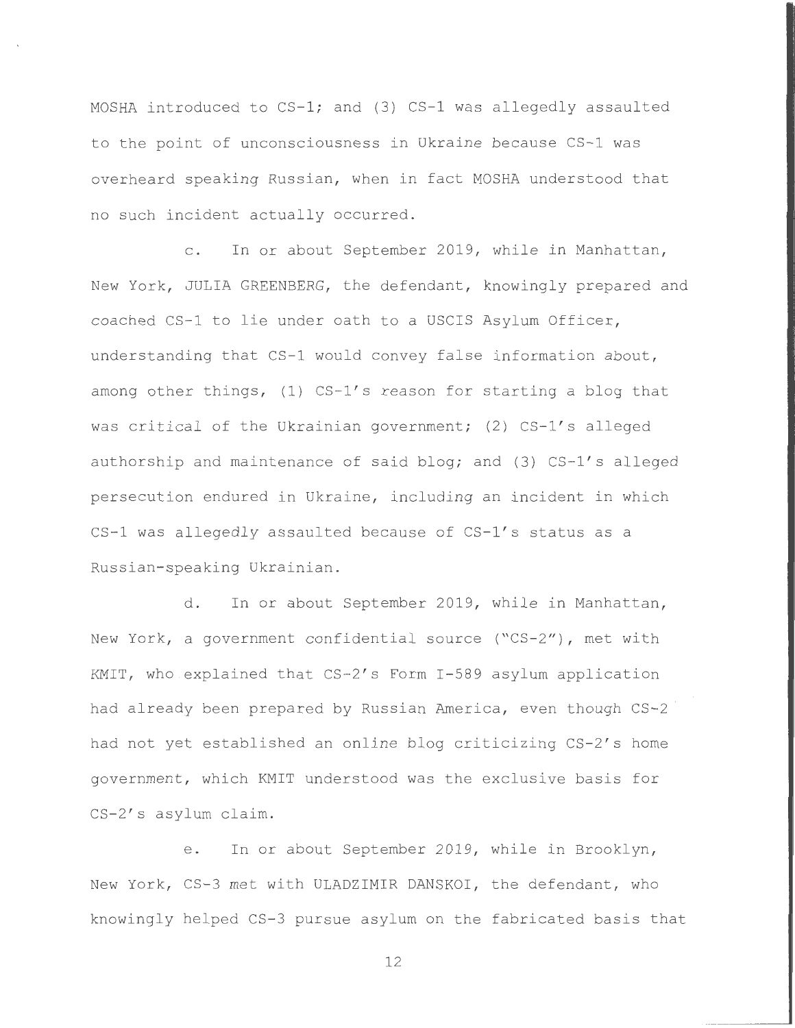MOSHA introduced to CS-1; and (3) CS-1 was allegedly assaulted to the point of unconsciousness in Ukraine because CS-1 was overheard speaking Russian, when in fact MOSHA understood that no such incident actually occurred.

c. In or about September 2019, while in Manhattan, New York, JULIA GREENBERG, the defendant, knowingly prepared and coached CS-1 to lie under oath to a USCIS Asylum Officer, understanding that CS-1 would convey false information about, among other things, (1) CS-1's reason for starting a blog that was critical of the Ukrainian government; (2)  $CS-1's$  alleged authorship and maintenance of said blog; and (3) CS-1's alleged persecution endured in Ukraine, including an incident in which CS-1 was allegedly assaulted because of CS-1's status as a Russian- speaking Ukrainian.

d. In or about September 2019, while in Manhattan, New York, a government confidential source ("CS-2"), met with KMIT, who explained that CS-2's Form I-589 asylum application had already been prepared by Russian America, even though CS-2 had not yet established an online blog criticizing CS-2's home government, which KMIT understood was the exclusive basis for CS-2's asylum claim.

e. In or about September 2019, while in Brooklyn, New York, CS-3 met with ULADZIMIR DANSKOI, the defendant, who knowingly helped CS-3 pursue asylum on the fabricated basis that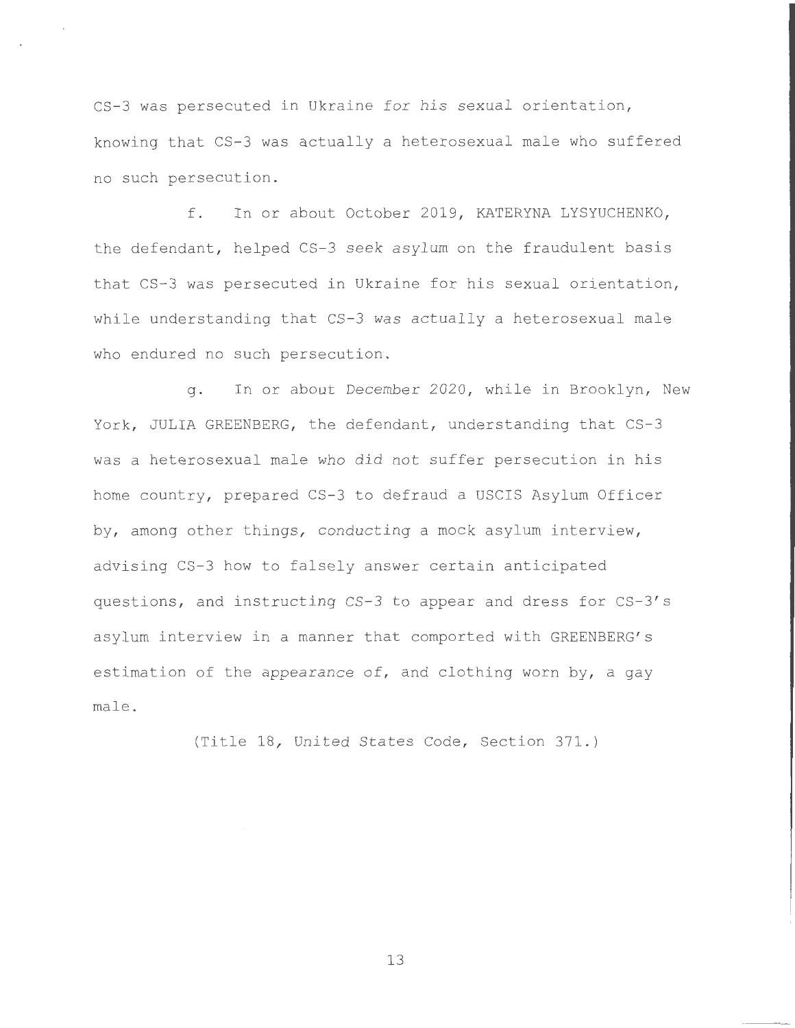CS-3 was persecuted in Ukraine for his sexual orientation, knowing that CS-3 was actually a heterosexual male who suffered no such persecution .

f. In or about October 2019, KATERYNA LYSYUCHENKO, the defendant, helped CS-3 seek asylum on the fraudulent basis that CS-3 was persecuted in Ukraine for his sexual orientation, while understanding that CS-3 was actually a heterosexual male who endured no such persecution.

q. In or about December 2020, while in Brooklyn, New York, JULIA GREENBERG, the defendant, understanding that CS-3 was a heterosexual male who did not suffer persecution in his home country, prepared CS-3 to defraud a USCIS Asylum Officer by, among other things, conducting a mock asylum interview, advising CS-3 how to falsely answer certain anticipated questions, and instructing CS-3 to appear and dress for CS-3's asylum interview in a manner that comported with GREENBERG's estimation of the appearance of, and clothing worn by, a gay male .

(Title 18, United States Code, Section 371.)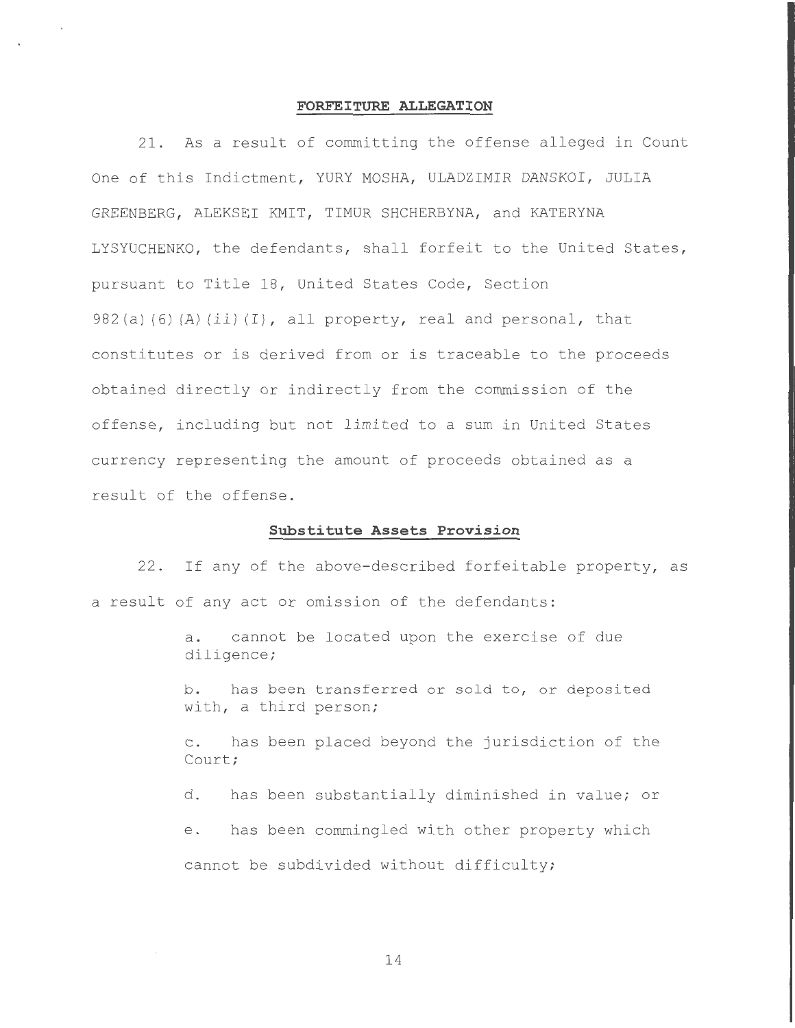#### **FORFEITURE ALLEGATION**

21 . As a result of committing the offense alleged in Count One of this Indictment, YURY MOSHA, ULADZIMIR DANSKOI, JULIA GREENBERG, ALEKSEI KMIT, TIMUR SHCHERBYNA, and KATERYNA LYSYUCHENKO, the defendants, shall forfeit to the United States, pursuant to Title 18, United States Code, Section  $982(a)$  (6) (A) (ii) (I), all property, real and personal, that constitutes or is derived from or is traceable to the proceeds obtained directly or indirectly from the commission of the offense, including but not limited to a sum in United States currency representing the amount of proceeds obtained as a result of the offense.

### **Substitute Assets Provision**

22. If any of the above-described forfeitable property, as a result of any act or omission of the defendants:

> a. cannot be located upon the exercise of due diligence ;

b. has been transferred or sold to, or deposited with, a third person;

c. has been placed beyond the jurisdiction of the Court;

d. has been substantially diminished in value; or

e. has been commingled with other property which cannot be subdivided without difficulty;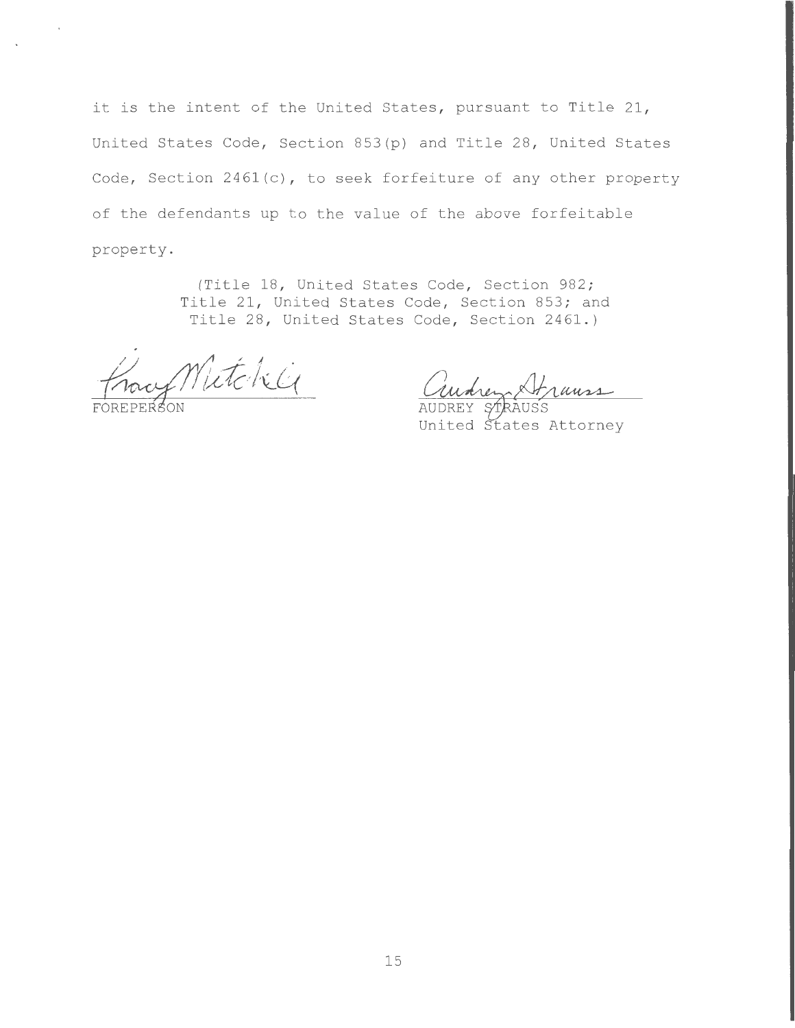it is the intent of the United States, pursuant to Title 21, United States Code, Section 853(p) and Title 28, United States Code, Section  $2461(c)$ , to seek forfeiture of any other property of the defendants up to the value of the above forfeitable property .

> (Title 18, United States Code, Section 982; Title 21, United States Code, Section 853; and Title 28, United States Code, Section 2461.)

Mitchile

rauss

United tates Attorney